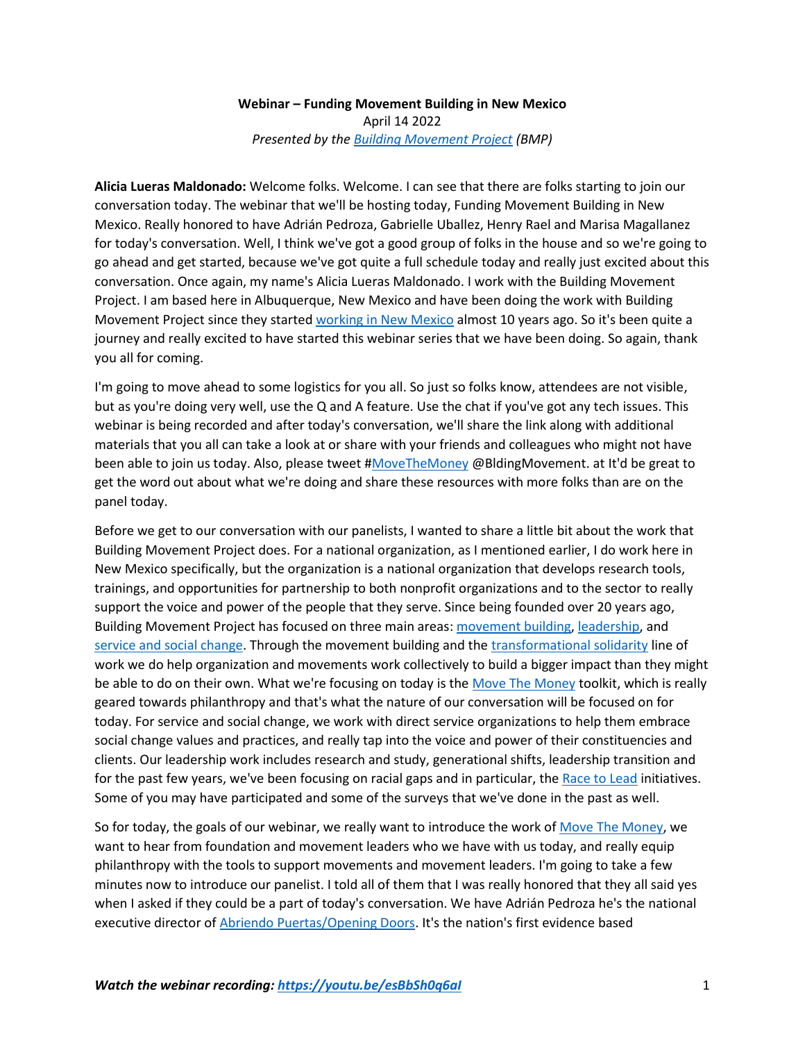## **Webinar – Funding Movement Building in New Mexico** April 14 2022 *Presented by the [Building Movement Project](http://www.buildingmovement.org/) (BMP)*

**Alicia Lueras Maldonado:** Welcome folks. Welcome. I can see that there are folks starting to join our conversation today. The webinar that we'll be hosting today, Funding Movement Building in New Mexico. Really honored to have Adrián Pedroza, Gabrielle Uballez, Henry Rael and Marisa Magallanez for today's conversation. Well, I think we've got a good group of folks in the house and so we're going to go ahead and get started, because we've got quite a full schedule today and really just excited about this conversation. Once again, my name's Alicia Lueras Maldonado. I work with the Building Movement Project. I am based here in Albuquerque, New Mexico and have been doing the work with Building Movement Project since they started [working in New Mexico](https://buildingmovement.org/our-work/social-change/new-mexico-the-common-good/) almost 10 years ago. So it's been quite a journey and really excited to have started this webinar series that we have been doing. So again, thank you all for coming.

I'm going to move ahead to some logistics for you all. So just so folks know, attendees are not visible, but as you're doing very well, use the Q and A feature. Use the chat if you've got any tech issues. This webinar is being recorded and after today's conversation, we'll share the link along with additional materials that you all can take a look at or share with your friends and colleagues who might not have been able to join us today. Also, please tweet [#MoveTheMoney](https://buildingmovement.org/move-the-money) @BldingMovement. at It'd be great to get the word out about what we're doing and share these resources with more folks than are on the panel today.

Before we get to our conversation with our panelists, I wanted to share a little bit about the work that Building Movement Project does. For a national organization, as I mentioned earlier, I do work here in New Mexico specifically, but the organization is a national organization that develops research tools, trainings, and opportunities for partnership to both nonprofit organizations and to the sector to really support the voice and power of the people that they serve. Since being founded over 20 years ago, Building Movement Project has focused on three main areas: [movement building,](https://buildingmovement.org/our-work/movement-building/) [leadership,](https://buildingmovement.org/our-work/leadership/) and [service and social change.](https://buildingmovement.org/our-work/social-change/) Through the movement building and th[e transformational solidarity](https://solidarityis.org/) line of work we do help organization and movements work collectively to build a bigger impact than they might be able to do on their own. What we're focusing on today is the [Move The Money](https://buildingmovement.org/move-the-money) toolkit, which is really geared towards philanthropy and that's what the nature of our conversation will be focused on for today. For service and social change, we work with direct service organizations to help them embrace social change values and practices, and really tap into the voice and power of their constituencies and clients. Our leadership work includes research and study, generational shifts, leadership transition and for the past few years, we've been focusing on racial gaps and in particular, the [Race to Lead](http://www.racetolead.org/) initiatives. Some of you may have participated and some of the surveys that we've done in the past as well.

So for today, the goals of our webinar, we really want to introduce the work o[f Move The Money,](https://buildingmovement.org/move-the-money) we want to hear from foundation and movement leaders who we have with us today, and really equip philanthropy with the tools to support movements and movement leaders. I'm going to take a few minutes now to introduce our panelist. I told all of them that I was really honored that they all said yes when I asked if they could be a part of today's conversation. We have Adrián Pedroza he's the national executive director of [Abriendo Puertas/Opening Doors.](https://ap-od.org/) It's the nation's first evidence based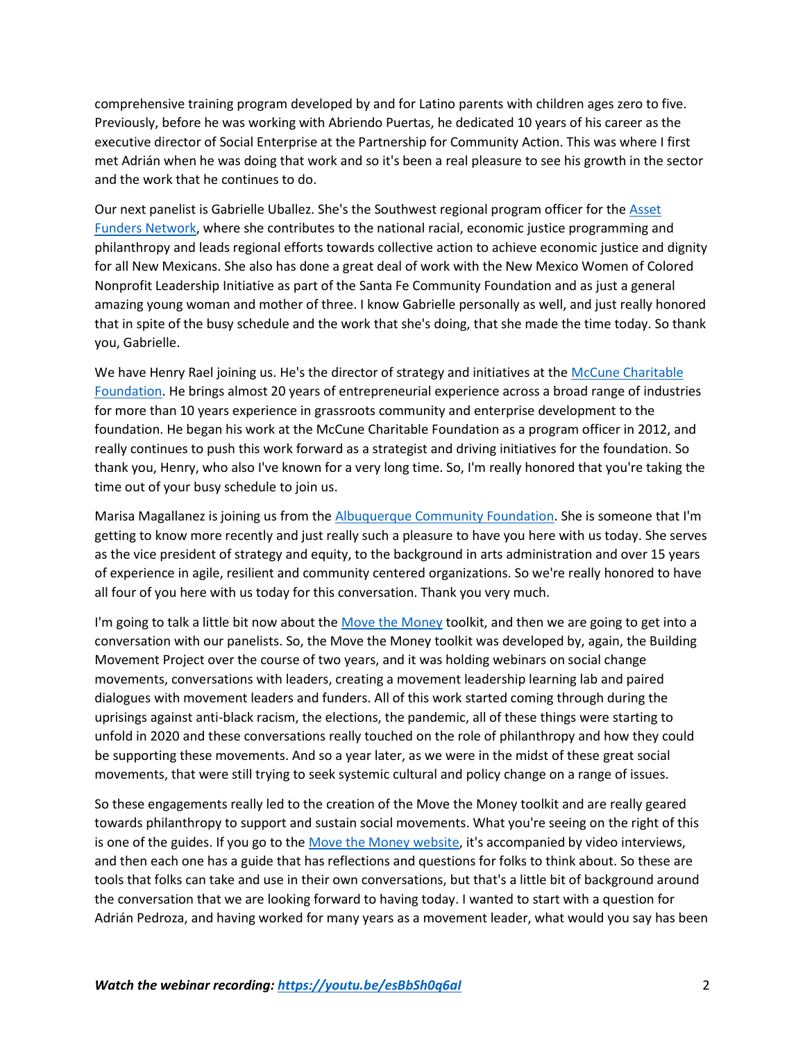comprehensive training program developed by and for Latino parents with children ages zero to five. Previously, before he was working with Abriendo Puertas, he dedicated 10 years of his career as the executive director of Social Enterprise at the Partnership for Community Action. This was where I first met Adrián when he was doing that work and so it's been a real pleasure to see his growth in the sector and the work that he continues to do.

Our next panelist is Gabrielle Uballez. She's the Southwest regional program officer for the Asset [Funders Network,](https://assetfunders.org/) where she contributes to the national racial, economic justice programming and philanthropy and leads regional efforts towards collective action to achieve economic justice and dignity for all New Mexicans. She also has done a great deal of work with the New Mexico Women of Colored Nonprofit Leadership Initiative as part of the Santa Fe Community Foundation and as just a general amazing young woman and mother of three. I know Gabrielle personally as well, and just really honored that in spite of the busy schedule and the work that she's doing, that she made the time today. So thank you, Gabrielle.

We have Henry Rael joining us. He's the director of strategy and initiatives at the McCune Charitable [Foundation.](https://nmmccune.org/) He brings almost 20 years of entrepreneurial experience across a broad range of industries for more than 10 years experience in grassroots community and enterprise development to the foundation. He began his work at the McCune Charitable Foundation as a program officer in 2012, and really continues to push this work forward as a strategist and driving initiatives for the foundation. So thank you, Henry, who also I've known for a very long time. So, I'm really honored that you're taking the time out of your busy schedule to join us.

Marisa Magallanez is joining us from the [Albuquerque Community Foundation.](https://abqcf.org/) She is someone that I'm getting to know more recently and just really such a pleasure to have you here with us today. She serves as the vice president of strategy and equity, to the background in arts administration and over 15 years of experience in agile, resilient and community centered organizations. So we're really honored to have all four of you here with us today for this conversation. Thank you very much.

I'm going to talk a little bit now about th[e Move the Money](https://buildingmovement.org/move-the-money/) toolkit, and then we are going to get into a conversation with our panelists. So, the Move the Money toolkit was developed by, again, the Building Movement Project over the course of two years, and it was holding webinars on social change movements, conversations with leaders, creating a movement leadership learning lab and paired dialogues with movement leaders and funders. All of this work started coming through during the uprisings against anti-black racism, the elections, the pandemic, all of these things were starting to unfold in 2020 and these conversations really touched on the role of philanthropy and how they could be supporting these movements. And so a year later, as we were in the midst of these great social movements, that were still trying to seek systemic cultural and policy change on a range of issues.

So these engagements really led to the creation of the Move the Money toolkit and are really geared towards philanthropy to support and sustain social movements. What you're seeing on the right of this is one of the guides. If you go to th[e Move the Money website,](https://buildingmovement.org/move-the-money/) it's accompanied by video interviews, and then each one has a guide that has reflections and questions for folks to think about. So these are tools that folks can take and use in their own conversations, but that's a little bit of background around the conversation that we are looking forward to having today. I wanted to start with a question for Adrián Pedroza, and having worked for many years as a movement leader, what would you say has been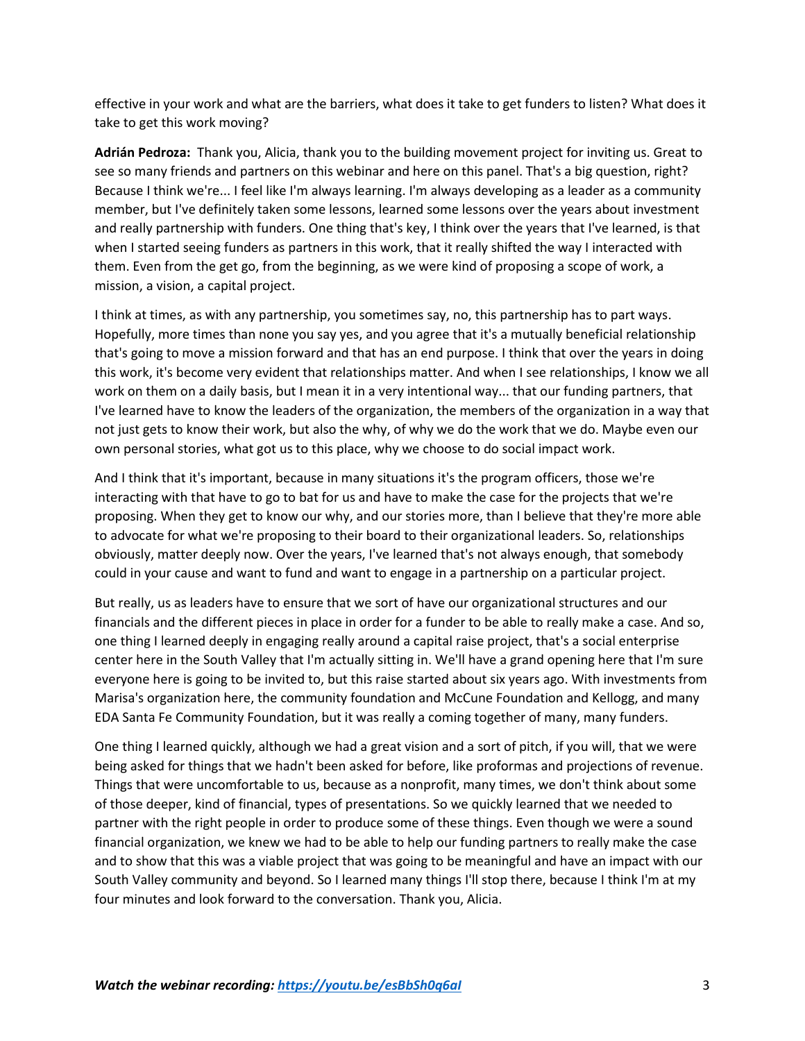effective in your work and what are the barriers, what does it take to get funders to listen? What does it take to get this work moving?

**Adrián Pedroza:** Thank you, Alicia, thank you to the building movement project for inviting us. Great to see so many friends and partners on this webinar and here on this panel. That's a big question, right? Because I think we're... I feel like I'm always learning. I'm always developing as a leader as a community member, but I've definitely taken some lessons, learned some lessons over the years about investment and really partnership with funders. One thing that's key, I think over the years that I've learned, is that when I started seeing funders as partners in this work, that it really shifted the way I interacted with them. Even from the get go, from the beginning, as we were kind of proposing a scope of work, a mission, a vision, a capital project.

I think at times, as with any partnership, you sometimes say, no, this partnership has to part ways. Hopefully, more times than none you say yes, and you agree that it's a mutually beneficial relationship that's going to move a mission forward and that has an end purpose. I think that over the years in doing this work, it's become very evident that relationships matter. And when I see relationships, I know we all work on them on a daily basis, but I mean it in a very intentional way... that our funding partners, that I've learned have to know the leaders of the organization, the members of the organization in a way that not just gets to know their work, but also the why, of why we do the work that we do. Maybe even our own personal stories, what got us to this place, why we choose to do social impact work.

And I think that it's important, because in many situations it's the program officers, those we're interacting with that have to go to bat for us and have to make the case for the projects that we're proposing. When they get to know our why, and our stories more, than I believe that they're more able to advocate for what we're proposing to their board to their organizational leaders. So, relationships obviously, matter deeply now. Over the years, I've learned that's not always enough, that somebody could in your cause and want to fund and want to engage in a partnership on a particular project.

But really, us as leaders have to ensure that we sort of have our organizational structures and our financials and the different pieces in place in order for a funder to be able to really make a case. And so, one thing I learned deeply in engaging really around a capital raise project, that's a social enterprise center here in the South Valley that I'm actually sitting in. We'll have a grand opening here that I'm sure everyone here is going to be invited to, but this raise started about six years ago. With investments from Marisa's organization here, the community foundation and McCune Foundation and Kellogg, and many EDA Santa Fe Community Foundation, but it was really a coming together of many, many funders.

One thing I learned quickly, although we had a great vision and a sort of pitch, if you will, that we were being asked for things that we hadn't been asked for before, like proformas and projections of revenue. Things that were uncomfortable to us, because as a nonprofit, many times, we don't think about some of those deeper, kind of financial, types of presentations. So we quickly learned that we needed to partner with the right people in order to produce some of these things. Even though we were a sound financial organization, we knew we had to be able to help our funding partners to really make the case and to show that this was a viable project that was going to be meaningful and have an impact with our South Valley community and beyond. So I learned many things I'll stop there, because I think I'm at my four minutes and look forward to the conversation. Thank you, Alicia.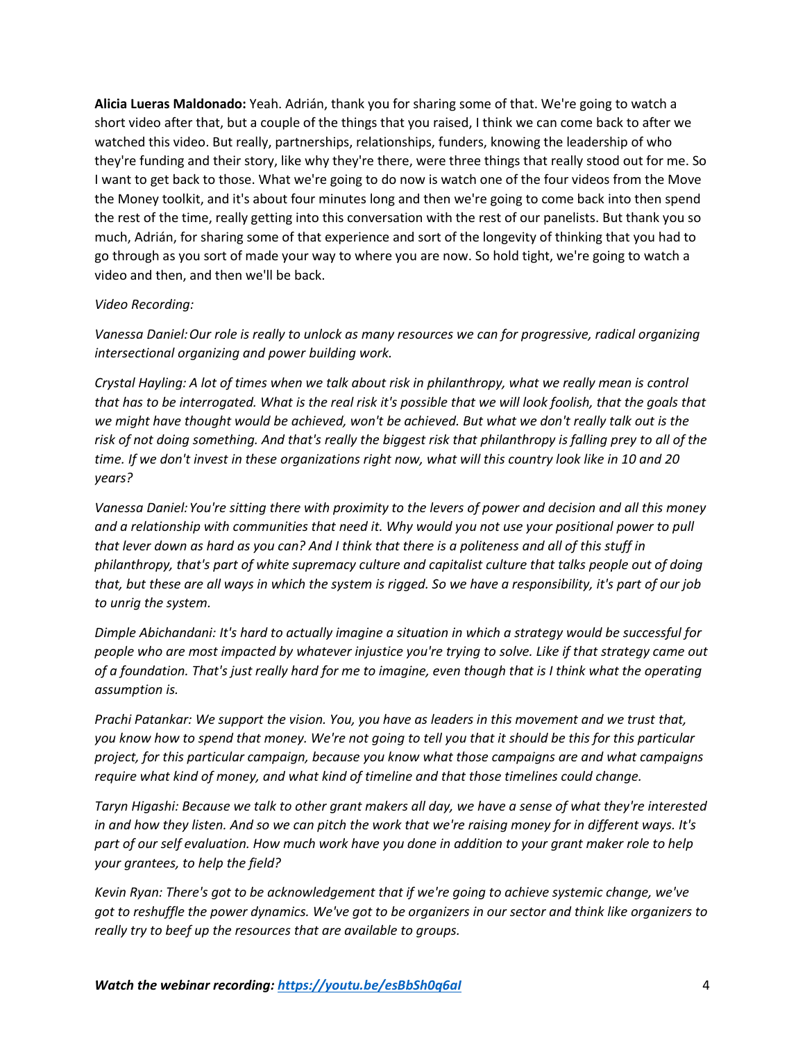**Alicia Lueras Maldonado:** Yeah. Adrián, thank you for sharing some of that. We're going to watch a short video after that, but a couple of the things that you raised, I think we can come back to after we watched this video. But really, partnerships, relationships, funders, knowing the leadership of who they're funding and their story, like why they're there, were three things that really stood out for me. So I want to get back to those. What we're going to do now is watch one of the four videos from the Move the Money toolkit, and it's about four minutes long and then we're going to come back into then spend the rest of the time, really getting into this conversation with the rest of our panelists. But thank you so much, Adrián, for sharing some of that experience and sort of the longevity of thinking that you had to go through as you sort of made your way to where you are now. So hold tight, we're going to watch a video and then, and then we'll be back.

## *Video Recording:*

*Vanessa Daniel:Our role is really to unlock as many resources we can for progressive, radical organizing intersectional organizing and power building work.*

*Crystal Hayling: A lot of times when we talk about risk in philanthropy, what we really mean is control that has to be interrogated. What is the real risk it's possible that we will look foolish, that the goals that we might have thought would be achieved, won't be achieved. But what we don't really talk out is the risk of not doing something. And that's really the biggest risk that philanthropy is falling prey to all of the time. If we don't invest in these organizations right now, what will this country look like in 10 and 20 years?*

*Vanessa Daniel:You're sitting there with proximity to the levers of power and decision and all this money and a relationship with communities that need it. Why would you not use your positional power to pull that lever down as hard as you can? And I think that there is a politeness and all of this stuff in philanthropy, that's part of white supremacy culture and capitalist culture that talks people out of doing that, but these are all ways in which the system is rigged. So we have a responsibility, it's part of our job to unrig the system.*

*Dimple Abichandani: It's hard to actually imagine a situation in which a strategy would be successful for people who are most impacted by whatever injustice you're trying to solve. Like if that strategy came out of a foundation. That's just really hard for me to imagine, even though that is I think what the operating assumption is.*

*Prachi Patankar: We support the vision. You, you have as leaders in this movement and we trust that, you know how to spend that money. We're not going to tell you that it should be this for this particular project, for this particular campaign, because you know what those campaigns are and what campaigns require what kind of money, and what kind of timeline and that those timelines could change.*

*Taryn Higashi: Because we talk to other grant makers all day, we have a sense of what they're interested in and how they listen. And so we can pitch the work that we're raising money for in different ways. It's part of our self evaluation. How much work have you done in addition to your grant maker role to help your grantees, to help the field?*

*Kevin Ryan: There's got to be acknowledgement that if we're going to achieve systemic change, we've got to reshuffle the power dynamics. We've got to be organizers in our sector and think like organizers to really try to beef up the resources that are available to groups.*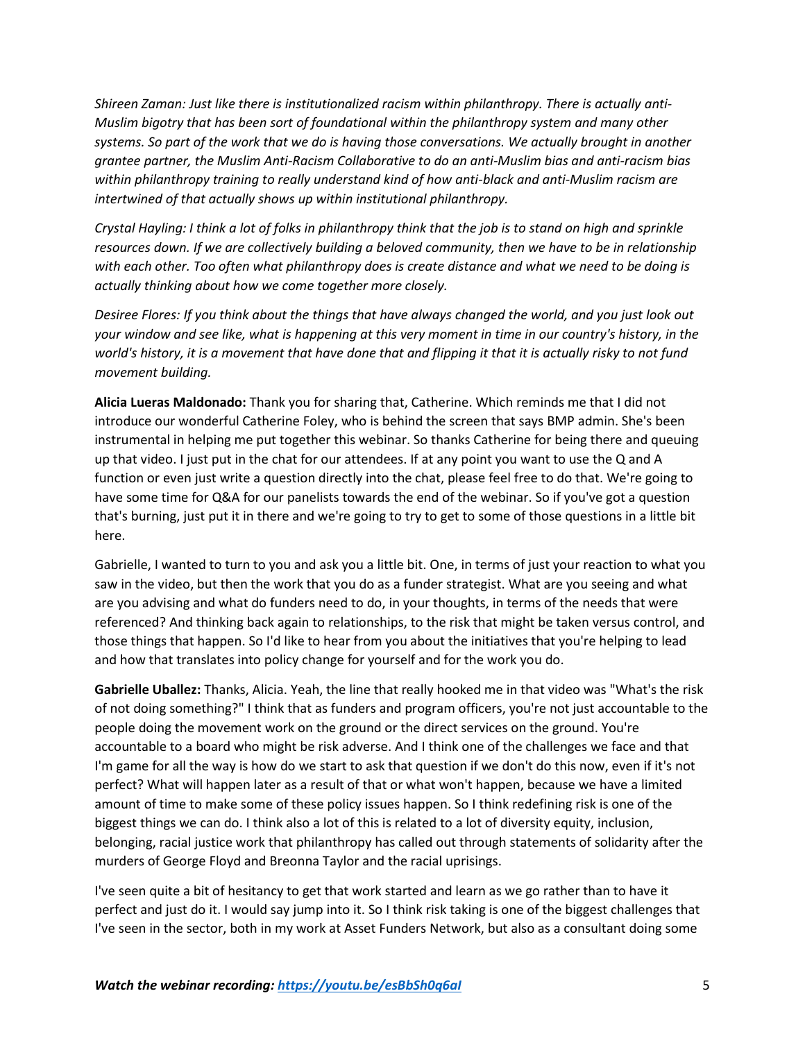*Shireen Zaman: Just like there is institutionalized racism within philanthropy. There is actually anti-Muslim bigotry that has been sort of foundational within the philanthropy system and many other systems. So part of the work that we do is having those conversations. We actually brought in another grantee partner, the Muslim Anti-Racism Collaborative to do an anti-Muslim bias and anti-racism bias within philanthropy training to really understand kind of how anti-black and anti-Muslim racism are intertwined of that actually shows up within institutional philanthropy.*

*Crystal Hayling: I think a lot of folks in philanthropy think that the job is to stand on high and sprinkle resources down. If we are collectively building a beloved community, then we have to be in relationship with each other. Too often what philanthropy does is create distance and what we need to be doing is actually thinking about how we come together more closely.*

*Desiree Flores: If you think about the things that have always changed the world, and you just look out your window and see like, what is happening at this very moment in time in our country's history, in the world's history, it is a movement that have done that and flipping it that it is actually risky to not fund movement building.*

**Alicia Lueras Maldonado:** Thank you for sharing that, Catherine. Which reminds me that I did not introduce our wonderful Catherine Foley, who is behind the screen that says BMP admin. She's been instrumental in helping me put together this webinar. So thanks Catherine for being there and queuing up that video. I just put in the chat for our attendees. If at any point you want to use the Q and A function or even just write a question directly into the chat, please feel free to do that. We're going to have some time for Q&A for our panelists towards the end of the webinar. So if you've got a question that's burning, just put it in there and we're going to try to get to some of those questions in a little bit here.

Gabrielle, I wanted to turn to you and ask you a little bit. One, in terms of just your reaction to what you saw in the video, but then the work that you do as a funder strategist. What are you seeing and what are you advising and what do funders need to do, in your thoughts, in terms of the needs that were referenced? And thinking back again to relationships, to the risk that might be taken versus control, and those things that happen. So I'd like to hear from you about the initiatives that you're helping to lead and how that translates into policy change for yourself and for the work you do.

**Gabrielle Uballez:** Thanks, Alicia. Yeah, the line that really hooked me in that video was "What's the risk of not doing something?" I think that as funders and program officers, you're not just accountable to the people doing the movement work on the ground or the direct services on the ground. You're accountable to a board who might be risk adverse. And I think one of the challenges we face and that I'm game for all the way is how do we start to ask that question if we don't do this now, even if it's not perfect? What will happen later as a result of that or what won't happen, because we have a limited amount of time to make some of these policy issues happen. So I think redefining risk is one of the biggest things we can do. I think also a lot of this is related to a lot of diversity equity, inclusion, belonging, racial justice work that philanthropy has called out through statements of solidarity after the murders of George Floyd and Breonna Taylor and the racial uprisings.

I've seen quite a bit of hesitancy to get that work started and learn as we go rather than to have it perfect and just do it. I would say jump into it. So I think risk taking is one of the biggest challenges that I've seen in the sector, both in my work at Asset Funders Network, but also as a consultant doing some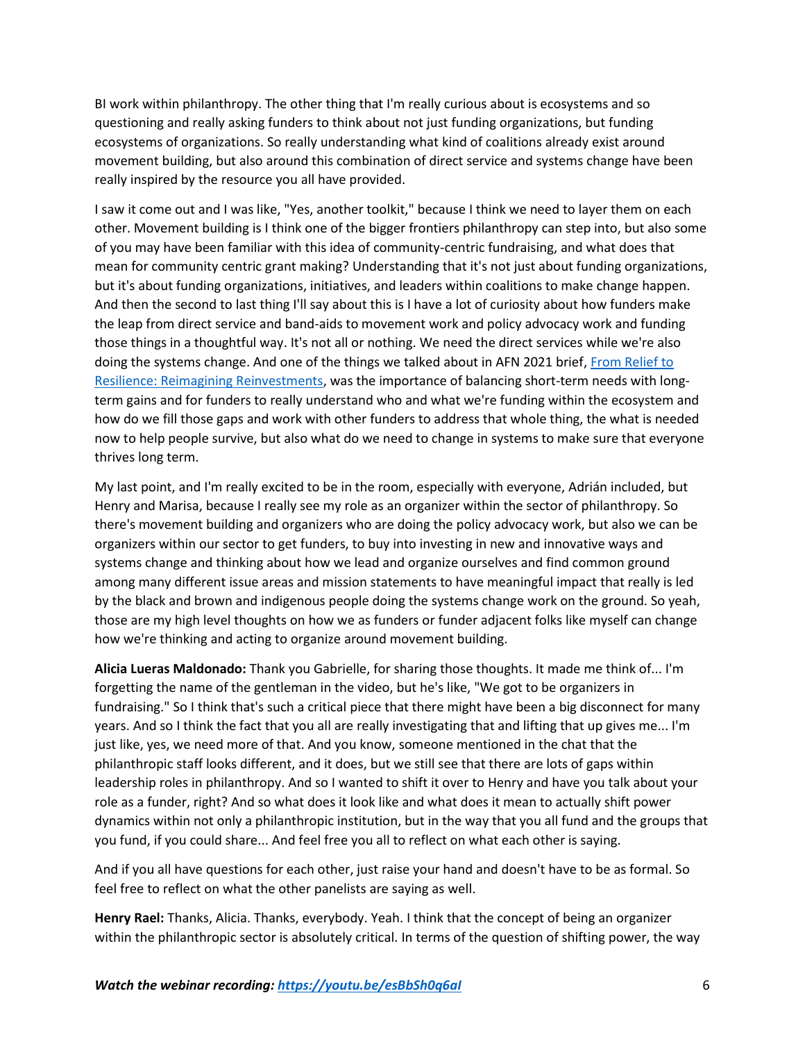BI work within philanthropy. The other thing that I'm really curious about is ecosystems and so questioning and really asking funders to think about not just funding organizations, but funding ecosystems of organizations. So really understanding what kind of coalitions already exist around movement building, but also around this combination of direct service and systems change have been really inspired by the resource you all have provided.

I saw it come out and I was like, "Yes, another toolkit," because I think we need to layer them on each other. Movement building is I think one of the bigger frontiers philanthropy can step into, but also some of you may have been familiar with this idea of community-centric fundraising, and what does that mean for community centric grant making? Understanding that it's not just about funding organizations, but it's about funding organizations, initiatives, and leaders within coalitions to make change happen. And then the second to last thing I'll say about this is I have a lot of curiosity about how funders make the leap from direct service and band-aids to movement work and policy advocacy work and funding those things in a thoughtful way. It's not all or nothing. We need the direct services while we're also doing the systems change. And one of the things we talked about in AFN 2021 brief, From Relief to Resilience: [Reimagining Reinvestments,](https://assetfunders.org/resources/from_relief_to_resilience/) was the importance of balancing short-term needs with longterm gains and for funders to really understand who and what we're funding within the ecosystem and how do we fill those gaps and work with other funders to address that whole thing, the what is needed now to help people survive, but also what do we need to change in systems to make sure that everyone thrives long term.

My last point, and I'm really excited to be in the room, especially with everyone, Adrián included, but Henry and Marisa, because I really see my role as an organizer within the sector of philanthropy. So there's movement building and organizers who are doing the policy advocacy work, but also we can be organizers within our sector to get funders, to buy into investing in new and innovative ways and systems change and thinking about how we lead and organize ourselves and find common ground among many different issue areas and mission statements to have meaningful impact that really is led by the black and brown and indigenous people doing the systems change work on the ground. So yeah, those are my high level thoughts on how we as funders or funder adjacent folks like myself can change how we're thinking and acting to organize around movement building.

**Alicia Lueras Maldonado:** Thank you Gabrielle, for sharing those thoughts. It made me think of... I'm forgetting the name of the gentleman in the video, but he's like, "We got to be organizers in fundraising." So I think that's such a critical piece that there might have been a big disconnect for many years. And so I think the fact that you all are really investigating that and lifting that up gives me... I'm just like, yes, we need more of that. And you know, someone mentioned in the chat that the philanthropic staff looks different, and it does, but we still see that there are lots of gaps within leadership roles in philanthropy. And so I wanted to shift it over to Henry and have you talk about your role as a funder, right? And so what does it look like and what does it mean to actually shift power dynamics within not only a philanthropic institution, but in the way that you all fund and the groups that you fund, if you could share... And feel free you all to reflect on what each other is saying.

And if you all have questions for each other, just raise your hand and doesn't have to be as formal. So feel free to reflect on what the other panelists are saying as well.

**Henry Rael:** Thanks, Alicia. Thanks, everybody. Yeah. I think that the concept of being an organizer within the philanthropic sector is absolutely critical. In terms of the question of shifting power, the way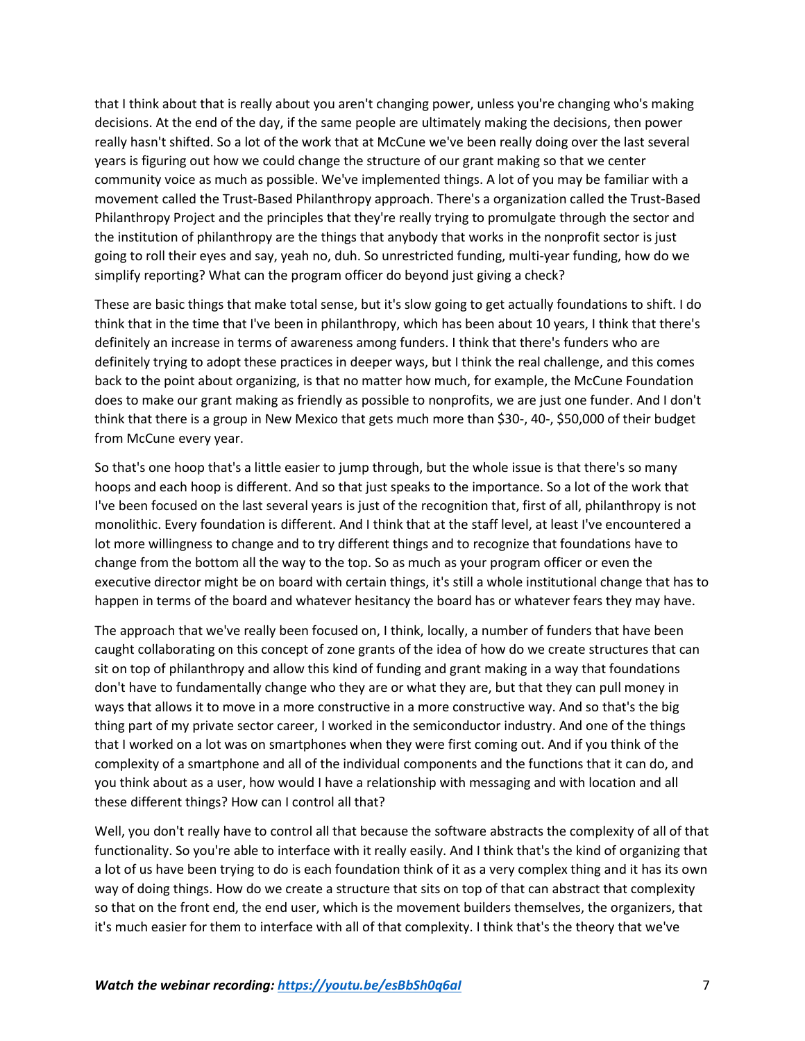that I think about that is really about you aren't changing power, unless you're changing who's making decisions. At the end of the day, if the same people are ultimately making the decisions, then power really hasn't shifted. So a lot of the work that at McCune we've been really doing over the last several years is figuring out how we could change the structure of our grant making so that we center community voice as much as possible. We've implemented things. A lot of you may be familiar with a movement called the Trust-Based Philanthropy approach. There's a organization called the Trust-Based Philanthropy Project and the principles that they're really trying to promulgate through the sector and the institution of philanthropy are the things that anybody that works in the nonprofit sector is just going to roll their eyes and say, yeah no, duh. So unrestricted funding, multi-year funding, how do we simplify reporting? What can the program officer do beyond just giving a check?

These are basic things that make total sense, but it's slow going to get actually foundations to shift. I do think that in the time that I've been in philanthropy, which has been about 10 years, I think that there's definitely an increase in terms of awareness among funders. I think that there's funders who are definitely trying to adopt these practices in deeper ways, but I think the real challenge, and this comes back to the point about organizing, is that no matter how much, for example, the McCune Foundation does to make our grant making as friendly as possible to nonprofits, we are just one funder. And I don't think that there is a group in New Mexico that gets much more than \$30-, 40-, \$50,000 of their budget from McCune every year.

So that's one hoop that's a little easier to jump through, but the whole issue is that there's so many hoops and each hoop is different. And so that just speaks to the importance. So a lot of the work that I've been focused on the last several years is just of the recognition that, first of all, philanthropy is not monolithic. Every foundation is different. And I think that at the staff level, at least I've encountered a lot more willingness to change and to try different things and to recognize that foundations have to change from the bottom all the way to the top. So as much as your program officer or even the executive director might be on board with certain things, it's still a whole institutional change that has to happen in terms of the board and whatever hesitancy the board has or whatever fears they may have.

The approach that we've really been focused on, I think, locally, a number of funders that have been caught collaborating on this concept of zone grants of the idea of how do we create structures that can sit on top of philanthropy and allow this kind of funding and grant making in a way that foundations don't have to fundamentally change who they are or what they are, but that they can pull money in ways that allows it to move in a more constructive in a more constructive way. And so that's the big thing part of my private sector career, I worked in the semiconductor industry. And one of the things that I worked on a lot was on smartphones when they were first coming out. And if you think of the complexity of a smartphone and all of the individual components and the functions that it can do, and you think about as a user, how would I have a relationship with messaging and with location and all these different things? How can I control all that?

Well, you don't really have to control all that because the software abstracts the complexity of all of that functionality. So you're able to interface with it really easily. And I think that's the kind of organizing that a lot of us have been trying to do is each foundation think of it as a very complex thing and it has its own way of doing things. How do we create a structure that sits on top of that can abstract that complexity so that on the front end, the end user, which is the movement builders themselves, the organizers, that it's much easier for them to interface with all of that complexity. I think that's the theory that we've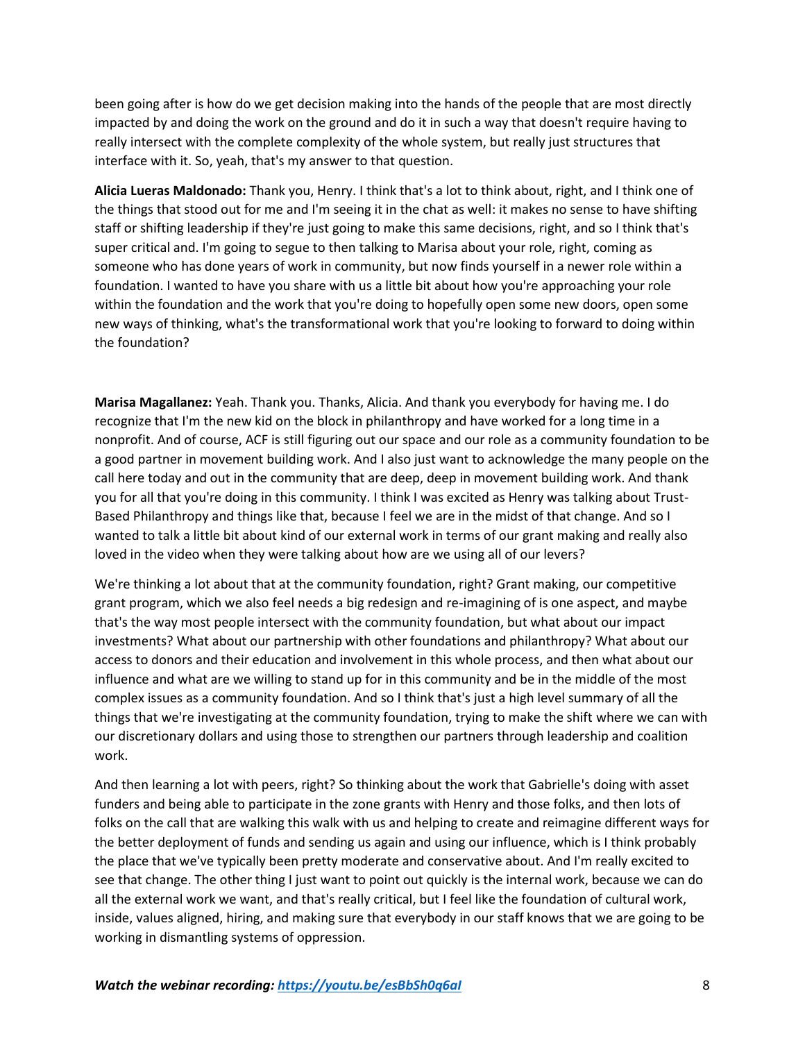been going after is how do we get decision making into the hands of the people that are most directly impacted by and doing the work on the ground and do it in such a way that doesn't require having to really intersect with the complete complexity of the whole system, but really just structures that interface with it. So, yeah, that's my answer to that question.

**Alicia Lueras Maldonado:** Thank you, Henry. I think that's a lot to think about, right, and I think one of the things that stood out for me and I'm seeing it in the chat as well: it makes no sense to have shifting staff or shifting leadership if they're just going to make this same decisions, right, and so I think that's super critical and. I'm going to segue to then talking to Marisa about your role, right, coming as someone who has done years of work in community, but now finds yourself in a newer role within a foundation. I wanted to have you share with us a little bit about how you're approaching your role within the foundation and the work that you're doing to hopefully open some new doors, open some new ways of thinking, what's the transformational work that you're looking to forward to doing within the foundation?

**Marisa Magallanez:** Yeah. Thank you. Thanks, Alicia. And thank you everybody for having me. I do recognize that I'm the new kid on the block in philanthropy and have worked for a long time in a nonprofit. And of course, ACF is still figuring out our space and our role as a community foundation to be a good partner in movement building work. And I also just want to acknowledge the many people on the call here today and out in the community that are deep, deep in movement building work. And thank you for all that you're doing in this community. I think I was excited as Henry was talking about Trust-Based Philanthropy and things like that, because I feel we are in the midst of that change. And so I wanted to talk a little bit about kind of our external work in terms of our grant making and really also loved in the video when they were talking about how are we using all of our levers?

We're thinking a lot about that at the community foundation, right? Grant making, our competitive grant program, which we also feel needs a big redesign and re-imagining of is one aspect, and maybe that's the way most people intersect with the community foundation, but what about our impact investments? What about our partnership with other foundations and philanthropy? What about our access to donors and their education and involvement in this whole process, and then what about our influence and what are we willing to stand up for in this community and be in the middle of the most complex issues as a community foundation. And so I think that's just a high level summary of all the things that we're investigating at the community foundation, trying to make the shift where we can with our discretionary dollars and using those to strengthen our partners through leadership and coalition work.

And then learning a lot with peers, right? So thinking about the work that Gabrielle's doing with asset funders and being able to participate in the zone grants with Henry and those folks, and then lots of folks on the call that are walking this walk with us and helping to create and reimagine different ways for the better deployment of funds and sending us again and using our influence, which is I think probably the place that we've typically been pretty moderate and conservative about. And I'm really excited to see that change. The other thing I just want to point out quickly is the internal work, because we can do all the external work we want, and that's really critical, but I feel like the foundation of cultural work, inside, values aligned, hiring, and making sure that everybody in our staff knows that we are going to be working in dismantling systems of oppression.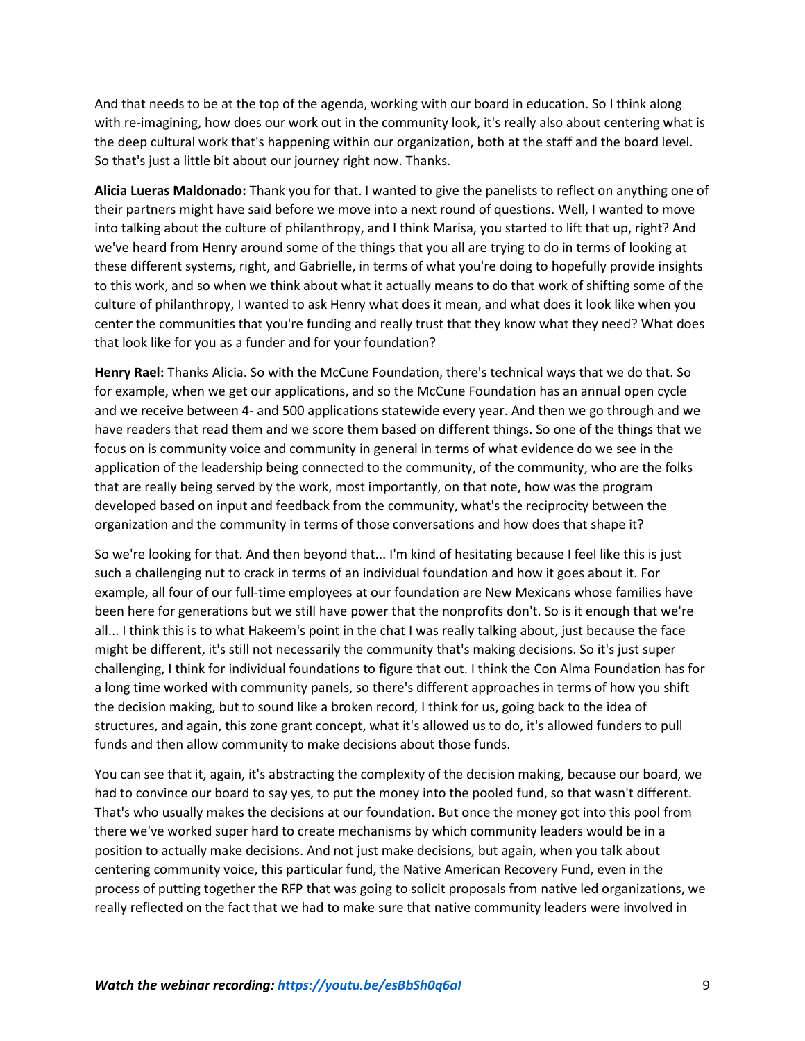And that needs to be at the top of the agenda, working with our board in education. So I think along with re-imagining, how does our work out in the community look, it's really also about centering what is the deep cultural work that's happening within our organization, both at the staff and the board level. So that's just a little bit about our journey right now. Thanks.

**Alicia Lueras Maldonado:** Thank you for that. I wanted to give the panelists to reflect on anything one of their partners might have said before we move into a next round of questions. Well, I wanted to move into talking about the culture of philanthropy, and I think Marisa, you started to lift that up, right? And we've heard from Henry around some of the things that you all are trying to do in terms of looking at these different systems, right, and Gabrielle, in terms of what you're doing to hopefully provide insights to this work, and so when we think about what it actually means to do that work of shifting some of the culture of philanthropy, I wanted to ask Henry what does it mean, and what does it look like when you center the communities that you're funding and really trust that they know what they need? What does that look like for you as a funder and for your foundation?

**Henry Rael:** Thanks Alicia. So with the McCune Foundation, there's technical ways that we do that. So for example, when we get our applications, and so the McCune Foundation has an annual open cycle and we receive between 4- and 500 applications statewide every year. And then we go through and we have readers that read them and we score them based on different things. So one of the things that we focus on is community voice and community in general in terms of what evidence do we see in the application of the leadership being connected to the community, of the community, who are the folks that are really being served by the work, most importantly, on that note, how was the program developed based on input and feedback from the community, what's the reciprocity between the organization and the community in terms of those conversations and how does that shape it?

So we're looking for that. And then beyond that... I'm kind of hesitating because I feel like this is just such a challenging nut to crack in terms of an individual foundation and how it goes about it. For example, all four of our full-time employees at our foundation are New Mexicans whose families have been here for generations but we still have power that the nonprofits don't. So is it enough that we're all... I think this is to what Hakeem's point in the chat I was really talking about, just because the face might be different, it's still not necessarily the community that's making decisions. So it's just super challenging, I think for individual foundations to figure that out. I think the Con Alma Foundation has for a long time worked with community panels, so there's different approaches in terms of how you shift the decision making, but to sound like a broken record, I think for us, going back to the idea of structures, and again, this zone grant concept, what it's allowed us to do, it's allowed funders to pull funds and then allow community to make decisions about those funds.

You can see that it, again, it's abstracting the complexity of the decision making, because our board, we had to convince our board to say yes, to put the money into the pooled fund, so that wasn't different. That's who usually makes the decisions at our foundation. But once the money got into this pool from there we've worked super hard to create mechanisms by which community leaders would be in a position to actually make decisions. And not just make decisions, but again, when you talk about centering community voice, this particular fund, the Native American Recovery Fund, even in the process of putting together the RFP that was going to solicit proposals from native led organizations, we really reflected on the fact that we had to make sure that native community leaders were involved in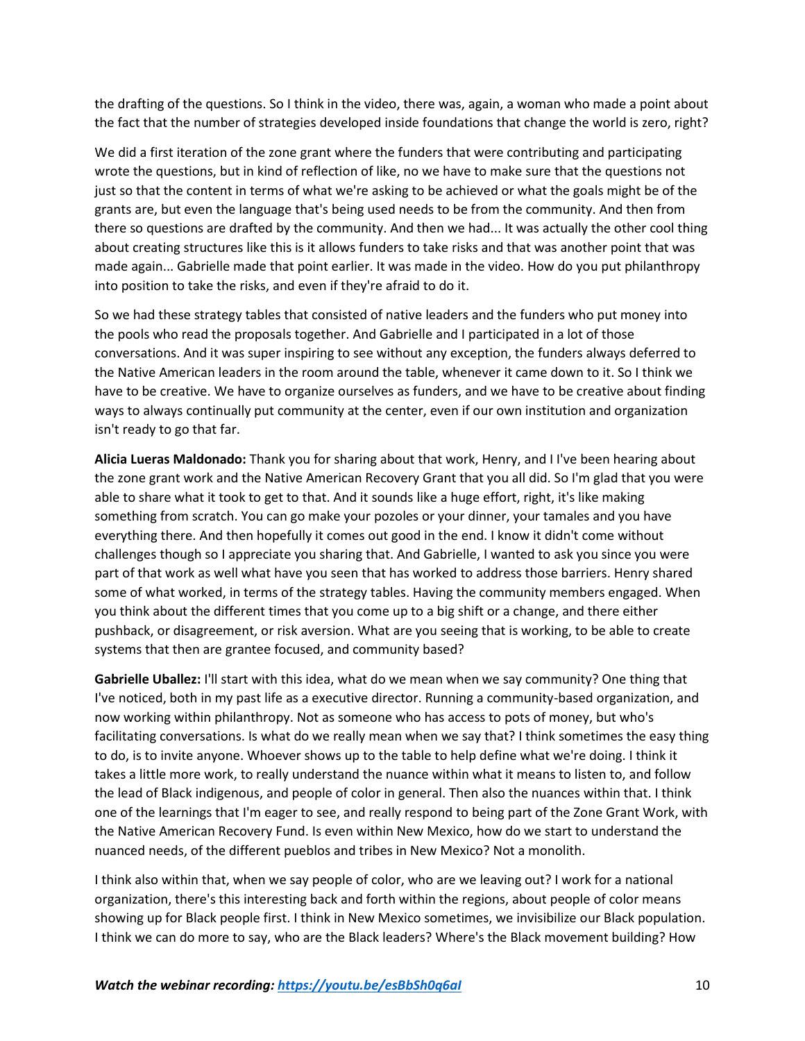the drafting of the questions. So I think in the video, there was, again, a woman who made a point about the fact that the number of strategies developed inside foundations that change the world is zero, right?

We did a first iteration of the zone grant where the funders that were contributing and participating wrote the questions, but in kind of reflection of like, no we have to make sure that the questions not just so that the content in terms of what we're asking to be achieved or what the goals might be of the grants are, but even the language that's being used needs to be from the community. And then from there so questions are drafted by the community. And then we had... It was actually the other cool thing about creating structures like this is it allows funders to take risks and that was another point that was made again... Gabrielle made that point earlier. It was made in the video. How do you put philanthropy into position to take the risks, and even if they're afraid to do it.

So we had these strategy tables that consisted of native leaders and the funders who put money into the pools who read the proposals together. And Gabrielle and I participated in a lot of those conversations. And it was super inspiring to see without any exception, the funders always deferred to the Native American leaders in the room around the table, whenever it came down to it. So I think we have to be creative. We have to organize ourselves as funders, and we have to be creative about finding ways to always continually put community at the center, even if our own institution and organization isn't ready to go that far.

**Alicia Lueras Maldonado:** Thank you for sharing about that work, Henry, and I I've been hearing about the zone grant work and the Native American Recovery Grant that you all did. So I'm glad that you were able to share what it took to get to that. And it sounds like a huge effort, right, it's like making something from scratch. You can go make your pozoles or your dinner, your tamales and you have everything there. And then hopefully it comes out good in the end. I know it didn't come without challenges though so I appreciate you sharing that. And Gabrielle, I wanted to ask you since you were part of that work as well what have you seen that has worked to address those barriers. Henry shared some of what worked, in terms of the strategy tables. Having the community members engaged. When you think about the different times that you come up to a big shift or a change, and there either pushback, or disagreement, or risk aversion. What are you seeing that is working, to be able to create systems that then are grantee focused, and community based?

**Gabrielle Uballez:** I'll start with this idea, what do we mean when we say community? One thing that I've noticed, both in my past life as a executive director. Running a community-based organization, and now working within philanthropy. Not as someone who has access to pots of money, but who's facilitating conversations. Is what do we really mean when we say that? I think sometimes the easy thing to do, is to invite anyone. Whoever shows up to the table to help define what we're doing. I think it takes a little more work, to really understand the nuance within what it means to listen to, and follow the lead of Black indigenous, and people of color in general. Then also the nuances within that. I think one of the learnings that I'm eager to see, and really respond to being part of the Zone Grant Work, with the Native American Recovery Fund. Is even within New Mexico, how do we start to understand the nuanced needs, of the different pueblos and tribes in New Mexico? Not a monolith.

I think also within that, when we say people of color, who are we leaving out? I work for a national organization, there's this interesting back and forth within the regions, about people of color means showing up for Black people first. I think in New Mexico sometimes, we invisibilize our Black population. I think we can do more to say, who are the Black leaders? Where's the Black movement building? How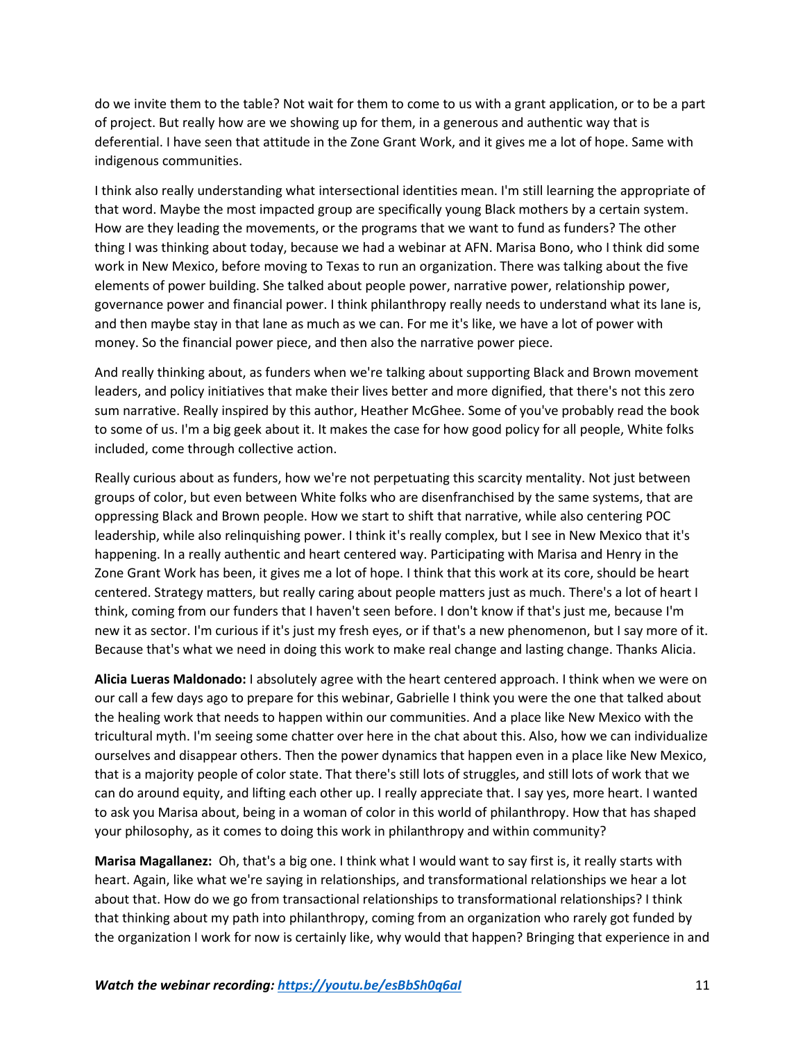do we invite them to the table? Not wait for them to come to us with a grant application, or to be a part of project. But really how are we showing up for them, in a generous and authentic way that is deferential. I have seen that attitude in the Zone Grant Work, and it gives me a lot of hope. Same with indigenous communities.

I think also really understanding what intersectional identities mean. I'm still learning the appropriate of that word. Maybe the most impacted group are specifically young Black mothers by a certain system. How are they leading the movements, or the programs that we want to fund as funders? The other thing I was thinking about today, because we had a webinar at AFN. Marisa Bono, who I think did some work in New Mexico, before moving to Texas to run an organization. There was talking about the five elements of power building. She talked about people power, narrative power, relationship power, governance power and financial power. I think philanthropy really needs to understand what its lane is, and then maybe stay in that lane as much as we can. For me it's like, we have a lot of power with money. So the financial power piece, and then also the narrative power piece.

And really thinking about, as funders when we're talking about supporting Black and Brown movement leaders, and policy initiatives that make their lives better and more dignified, that there's not this zero sum narrative. Really inspired by this author, Heather McGhee. Some of you've probably read the book to some of us. I'm a big geek about it. It makes the case for how good policy for all people, White folks included, come through collective action.

Really curious about as funders, how we're not perpetuating this scarcity mentality. Not just between groups of color, but even between White folks who are disenfranchised by the same systems, that are oppressing Black and Brown people. How we start to shift that narrative, while also centering POC leadership, while also relinquishing power. I think it's really complex, but I see in New Mexico that it's happening. In a really authentic and heart centered way. Participating with Marisa and Henry in the Zone Grant Work has been, it gives me a lot of hope. I think that this work at its core, should be heart centered. Strategy matters, but really caring about people matters just as much. There's a lot of heart I think, coming from our funders that I haven't seen before. I don't know if that's just me, because I'm new it as sector. I'm curious if it's just my fresh eyes, or if that's a new phenomenon, but I say more of it. Because that's what we need in doing this work to make real change and lasting change. Thanks Alicia.

**Alicia Lueras Maldonado:** I absolutely agree with the heart centered approach. I think when we were on our call a few days ago to prepare for this webinar, Gabrielle I think you were the one that talked about the healing work that needs to happen within our communities. And a place like New Mexico with the tricultural myth. I'm seeing some chatter over here in the chat about this. Also, how we can individualize ourselves and disappear others. Then the power dynamics that happen even in a place like New Mexico, that is a majority people of color state. That there's still lots of struggles, and still lots of work that we can do around equity, and lifting each other up. I really appreciate that. I say yes, more heart. I wanted to ask you Marisa about, being in a woman of color in this world of philanthropy. How that has shaped your philosophy, as it comes to doing this work in philanthropy and within community?

**Marisa Magallanez:** Oh, that's a big one. I think what I would want to say first is, it really starts with heart. Again, like what we're saying in relationships, and transformational relationships we hear a lot about that. How do we go from transactional relationships to transformational relationships? I think that thinking about my path into philanthropy, coming from an organization who rarely got funded by the organization I work for now is certainly like, why would that happen? Bringing that experience in and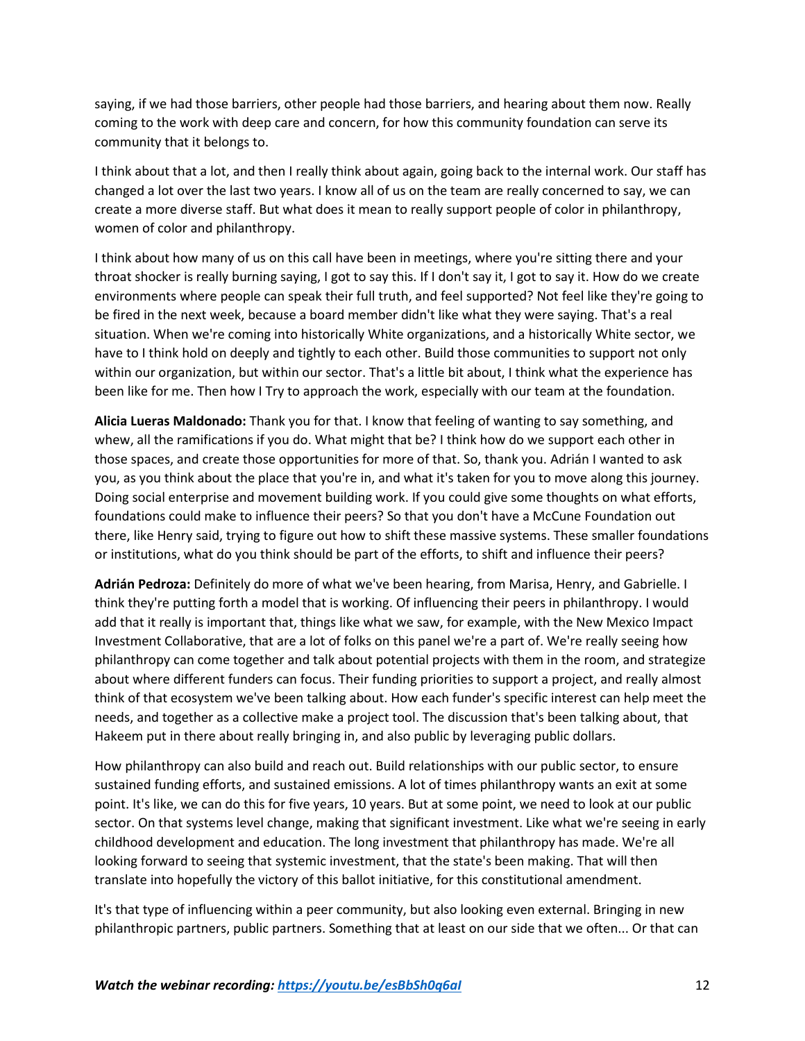saying, if we had those barriers, other people had those barriers, and hearing about them now. Really coming to the work with deep care and concern, for how this community foundation can serve its community that it belongs to.

I think about that a lot, and then I really think about again, going back to the internal work. Our staff has changed a lot over the last two years. I know all of us on the team are really concerned to say, we can create a more diverse staff. But what does it mean to really support people of color in philanthropy, women of color and philanthropy.

I think about how many of us on this call have been in meetings, where you're sitting there and your throat shocker is really burning saying, I got to say this. If I don't say it, I got to say it. How do we create environments where people can speak their full truth, and feel supported? Not feel like they're going to be fired in the next week, because a board member didn't like what they were saying. That's a real situation. When we're coming into historically White organizations, and a historically White sector, we have to I think hold on deeply and tightly to each other. Build those communities to support not only within our organization, but within our sector. That's a little bit about, I think what the experience has been like for me. Then how I Try to approach the work, especially with our team at the foundation.

**Alicia Lueras Maldonado:** Thank you for that. I know that feeling of wanting to say something, and whew, all the ramifications if you do. What might that be? I think how do we support each other in those spaces, and create those opportunities for more of that. So, thank you. Adrián I wanted to ask you, as you think about the place that you're in, and what it's taken for you to move along this journey. Doing social enterprise and movement building work. If you could give some thoughts on what efforts, foundations could make to influence their peers? So that you don't have a McCune Foundation out there, like Henry said, trying to figure out how to shift these massive systems. These smaller foundations or institutions, what do you think should be part of the efforts, to shift and influence their peers?

**Adrián Pedroza:** Definitely do more of what we've been hearing, from Marisa, Henry, and Gabrielle. I think they're putting forth a model that is working. Of influencing their peers in philanthropy. I would add that it really is important that, things like what we saw, for example, with the New Mexico Impact Investment Collaborative, that are a lot of folks on this panel we're a part of. We're really seeing how philanthropy can come together and talk about potential projects with them in the room, and strategize about where different funders can focus. Their funding priorities to support a project, and really almost think of that ecosystem we've been talking about. How each funder's specific interest can help meet the needs, and together as a collective make a project tool. The discussion that's been talking about, that Hakeem put in there about really bringing in, and also public by leveraging public dollars.

How philanthropy can also build and reach out. Build relationships with our public sector, to ensure sustained funding efforts, and sustained emissions. A lot of times philanthropy wants an exit at some point. It's like, we can do this for five years, 10 years. But at some point, we need to look at our public sector. On that systems level change, making that significant investment. Like what we're seeing in early childhood development and education. The long investment that philanthropy has made. We're all looking forward to seeing that systemic investment, that the state's been making. That will then translate into hopefully the victory of this ballot initiative, for this constitutional amendment.

It's that type of influencing within a peer community, but also looking even external. Bringing in new philanthropic partners, public partners. Something that at least on our side that we often... Or that can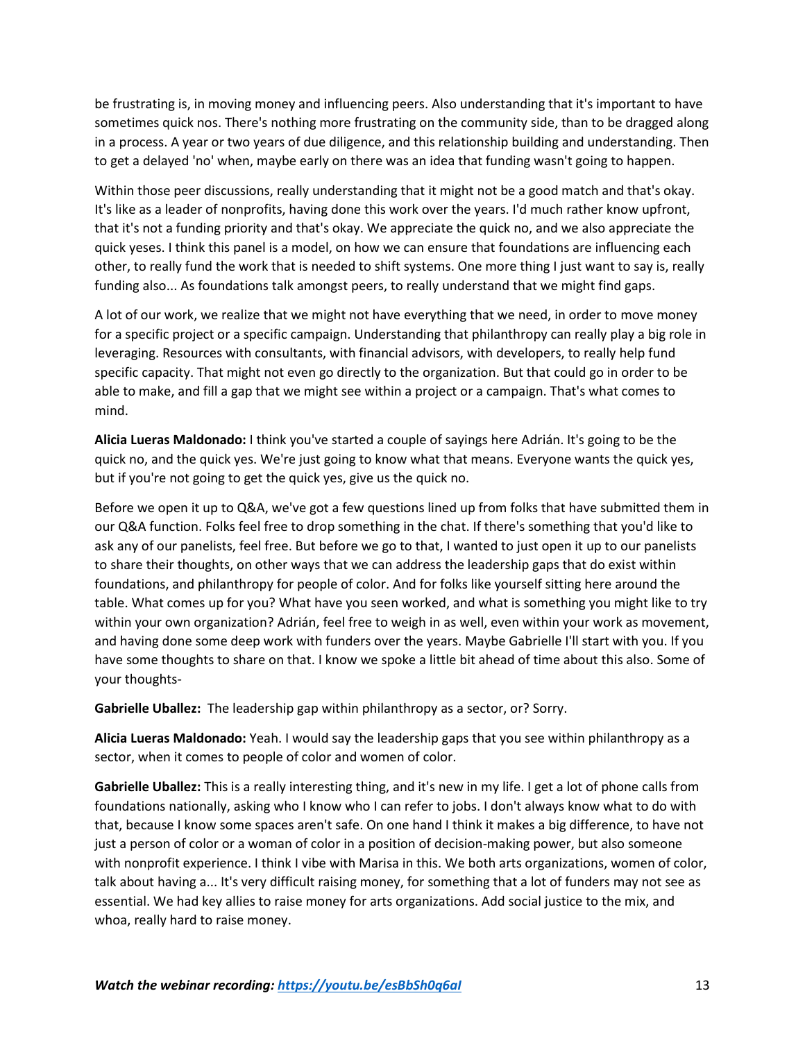be frustrating is, in moving money and influencing peers. Also understanding that it's important to have sometimes quick nos. There's nothing more frustrating on the community side, than to be dragged along in a process. A year or two years of due diligence, and this relationship building and understanding. Then to get a delayed 'no' when, maybe early on there was an idea that funding wasn't going to happen.

Within those peer discussions, really understanding that it might not be a good match and that's okay. It's like as a leader of nonprofits, having done this work over the years. I'd much rather know upfront, that it's not a funding priority and that's okay. We appreciate the quick no, and we also appreciate the quick yeses. I think this panel is a model, on how we can ensure that foundations are influencing each other, to really fund the work that is needed to shift systems. One more thing I just want to say is, really funding also... As foundations talk amongst peers, to really understand that we might find gaps.

A lot of our work, we realize that we might not have everything that we need, in order to move money for a specific project or a specific campaign. Understanding that philanthropy can really play a big role in leveraging. Resources with consultants, with financial advisors, with developers, to really help fund specific capacity. That might not even go directly to the organization. But that could go in order to be able to make, and fill a gap that we might see within a project or a campaign. That's what comes to mind.

**Alicia Lueras Maldonado:** I think you've started a couple of sayings here Adrián. It's going to be the quick no, and the quick yes. We're just going to know what that means. Everyone wants the quick yes, but if you're not going to get the quick yes, give us the quick no.

Before we open it up to Q&A, we've got a few questions lined up from folks that have submitted them in our Q&A function. Folks feel free to drop something in the chat. If there's something that you'd like to ask any of our panelists, feel free. But before we go to that, I wanted to just open it up to our panelists to share their thoughts, on other ways that we can address the leadership gaps that do exist within foundations, and philanthropy for people of color. And for folks like yourself sitting here around the table. What comes up for you? What have you seen worked, and what is something you might like to try within your own organization? Adrián, feel free to weigh in as well, even within your work as movement, and having done some deep work with funders over the years. Maybe Gabrielle I'll start with you. If you have some thoughts to share on that. I know we spoke a little bit ahead of time about this also. Some of your thoughts-

**Gabrielle Uballez:** The leadership gap within philanthropy as a sector, or? Sorry.

**Alicia Lueras Maldonado:** Yeah. I would say the leadership gaps that you see within philanthropy as a sector, when it comes to people of color and women of color.

**Gabrielle Uballez:** This is a really interesting thing, and it's new in my life. I get a lot of phone calls from foundations nationally, asking who I know who I can refer to jobs. I don't always know what to do with that, because I know some spaces aren't safe. On one hand I think it makes a big difference, to have not just a person of color or a woman of color in a position of decision-making power, but also someone with nonprofit experience. I think I vibe with Marisa in this. We both arts organizations, women of color, talk about having a... It's very difficult raising money, for something that a lot of funders may not see as essential. We had key allies to raise money for arts organizations. Add social justice to the mix, and whoa, really hard to raise money.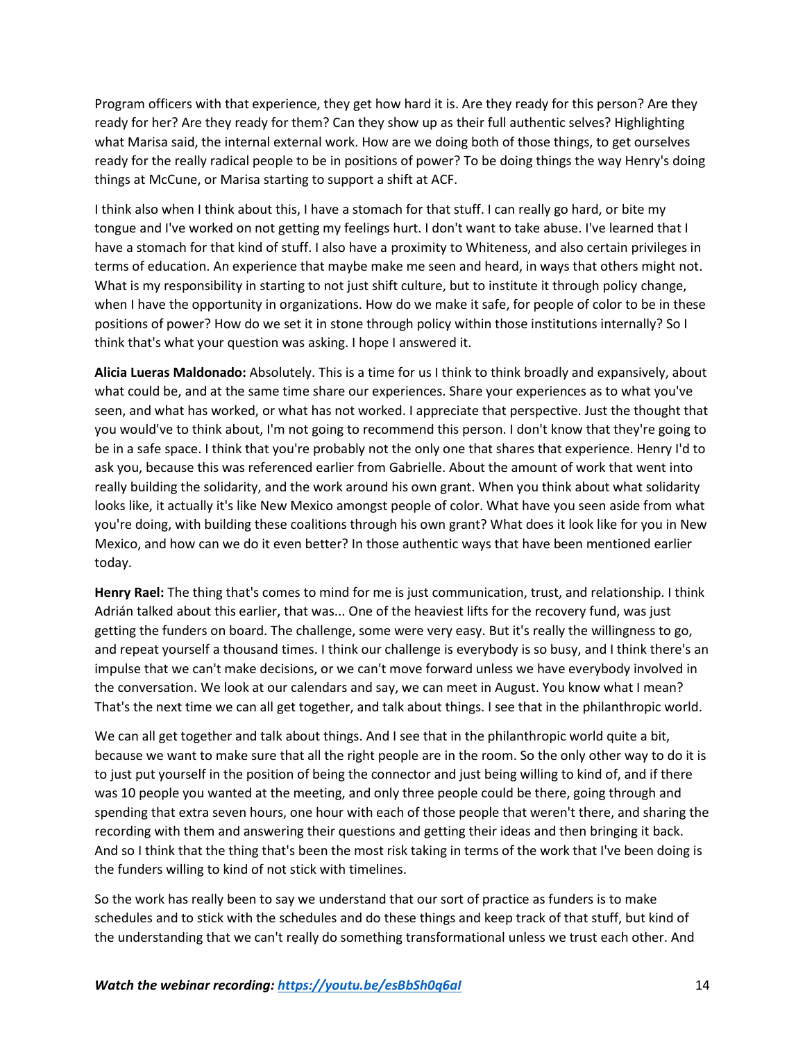Program officers with that experience, they get how hard it is. Are they ready for this person? Are they ready for her? Are they ready for them? Can they show up as their full authentic selves? Highlighting what Marisa said, the internal external work. How are we doing both of those things, to get ourselves ready for the really radical people to be in positions of power? To be doing things the way Henry's doing things at McCune, or Marisa starting to support a shift at ACF.

I think also when I think about this, I have a stomach for that stuff. I can really go hard, or bite my tongue and I've worked on not getting my feelings hurt. I don't want to take abuse. I've learned that I have a stomach for that kind of stuff. I also have a proximity to Whiteness, and also certain privileges in terms of education. An experience that maybe make me seen and heard, in ways that others might not. What is my responsibility in starting to not just shift culture, but to institute it through policy change, when I have the opportunity in organizations. How do we make it safe, for people of color to be in these positions of power? How do we set it in stone through policy within those institutions internally? So I think that's what your question was asking. I hope I answered it.

**Alicia Lueras Maldonado:** Absolutely. This is a time for us I think to think broadly and expansively, about what could be, and at the same time share our experiences. Share your experiences as to what you've seen, and what has worked, or what has not worked. I appreciate that perspective. Just the thought that you would've to think about, I'm not going to recommend this person. I don't know that they're going to be in a safe space. I think that you're probably not the only one that shares that experience. Henry I'd to ask you, because this was referenced earlier from Gabrielle. About the amount of work that went into really building the solidarity, and the work around his own grant. When you think about what solidarity looks like, it actually it's like New Mexico amongst people of color. What have you seen aside from what you're doing, with building these coalitions through his own grant? What does it look like for you in New Mexico, and how can we do it even better? In those authentic ways that have been mentioned earlier today.

**Henry Rael:** The thing that's comes to mind for me is just communication, trust, and relationship. I think Adrián talked about this earlier, that was... One of the heaviest lifts for the recovery fund, was just getting the funders on board. The challenge, some were very easy. But it's really the willingness to go, and repeat yourself a thousand times. I think our challenge is everybody is so busy, and I think there's an impulse that we can't make decisions, or we can't move forward unless we have everybody involved in the conversation. We look at our calendars and say, we can meet in August. You know what I mean? That's the next time we can all get together, and talk about things. I see that in the philanthropic world.

We can all get together and talk about things. And I see that in the philanthropic world quite a bit, because we want to make sure that all the right people are in the room. So the only other way to do it is to just put yourself in the position of being the connector and just being willing to kind of, and if there was 10 people you wanted at the meeting, and only three people could be there, going through and spending that extra seven hours, one hour with each of those people that weren't there, and sharing the recording with them and answering their questions and getting their ideas and then bringing it back. And so I think that the thing that's been the most risk taking in terms of the work that I've been doing is the funders willing to kind of not stick with timelines.

So the work has really been to say we understand that our sort of practice as funders is to make schedules and to stick with the schedules and do these things and keep track of that stuff, but kind of the understanding that we can't really do something transformational unless we trust each other. And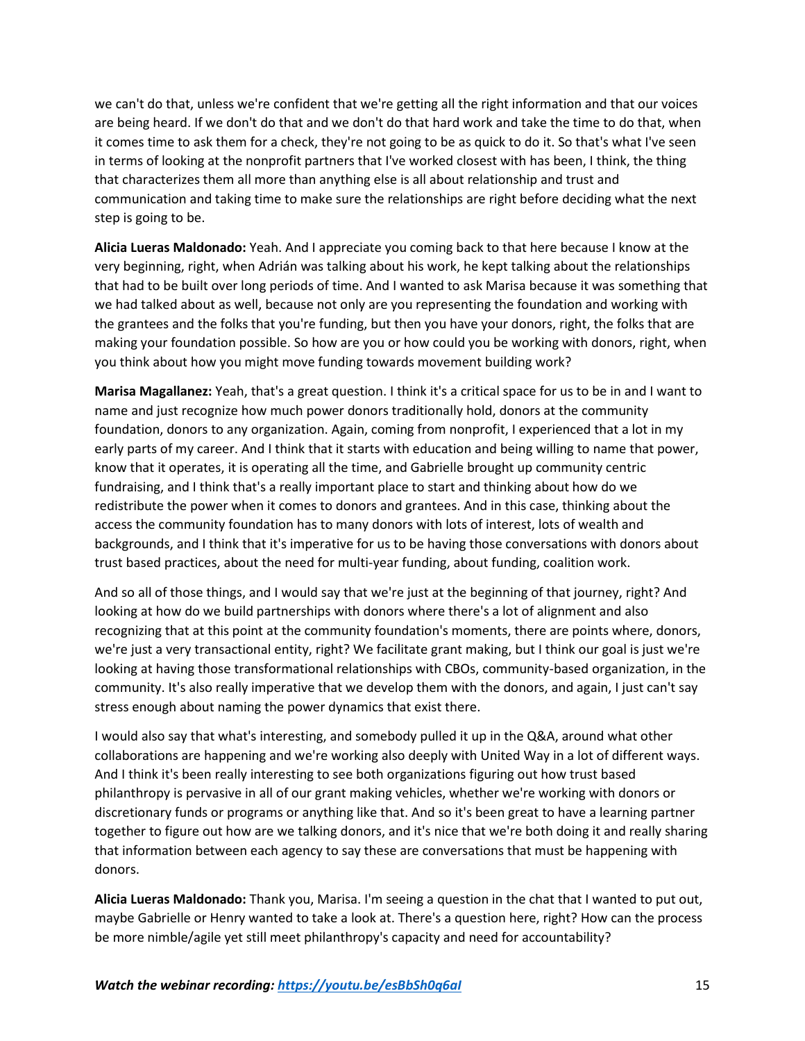we can't do that, unless we're confident that we're getting all the right information and that our voices are being heard. If we don't do that and we don't do that hard work and take the time to do that, when it comes time to ask them for a check, they're not going to be as quick to do it. So that's what I've seen in terms of looking at the nonprofit partners that I've worked closest with has been, I think, the thing that characterizes them all more than anything else is all about relationship and trust and communication and taking time to make sure the relationships are right before deciding what the next step is going to be.

**Alicia Lueras Maldonado:** Yeah. And I appreciate you coming back to that here because I know at the very beginning, right, when Adrián was talking about his work, he kept talking about the relationships that had to be built over long periods of time. And I wanted to ask Marisa because it was something that we had talked about as well, because not only are you representing the foundation and working with the grantees and the folks that you're funding, but then you have your donors, right, the folks that are making your foundation possible. So how are you or how could you be working with donors, right, when you think about how you might move funding towards movement building work?

**Marisa Magallanez:** Yeah, that's a great question. I think it's a critical space for us to be in and I want to name and just recognize how much power donors traditionally hold, donors at the community foundation, donors to any organization. Again, coming from nonprofit, I experienced that a lot in my early parts of my career. And I think that it starts with education and being willing to name that power, know that it operates, it is operating all the time, and Gabrielle brought up community centric fundraising, and I think that's a really important place to start and thinking about how do we redistribute the power when it comes to donors and grantees. And in this case, thinking about the access the community foundation has to many donors with lots of interest, lots of wealth and backgrounds, and I think that it's imperative for us to be having those conversations with donors about trust based practices, about the need for multi-year funding, about funding, coalition work.

And so all of those things, and I would say that we're just at the beginning of that journey, right? And looking at how do we build partnerships with donors where there's a lot of alignment and also recognizing that at this point at the community foundation's moments, there are points where, donors, we're just a very transactional entity, right? We facilitate grant making, but I think our goal is just we're looking at having those transformational relationships with CBOs, community-based organization, in the community. It's also really imperative that we develop them with the donors, and again, I just can't say stress enough about naming the power dynamics that exist there.

I would also say that what's interesting, and somebody pulled it up in the Q&A, around what other collaborations are happening and we're working also deeply with United Way in a lot of different ways. And I think it's been really interesting to see both organizations figuring out how trust based philanthropy is pervasive in all of our grant making vehicles, whether we're working with donors or discretionary funds or programs or anything like that. And so it's been great to have a learning partner together to figure out how are we talking donors, and it's nice that we're both doing it and really sharing that information between each agency to say these are conversations that must be happening with donors.

**Alicia Lueras Maldonado:** Thank you, Marisa. I'm seeing a question in the chat that I wanted to put out, maybe Gabrielle or Henry wanted to take a look at. There's a question here, right? How can the process be more nimble/agile yet still meet philanthropy's capacity and need for accountability?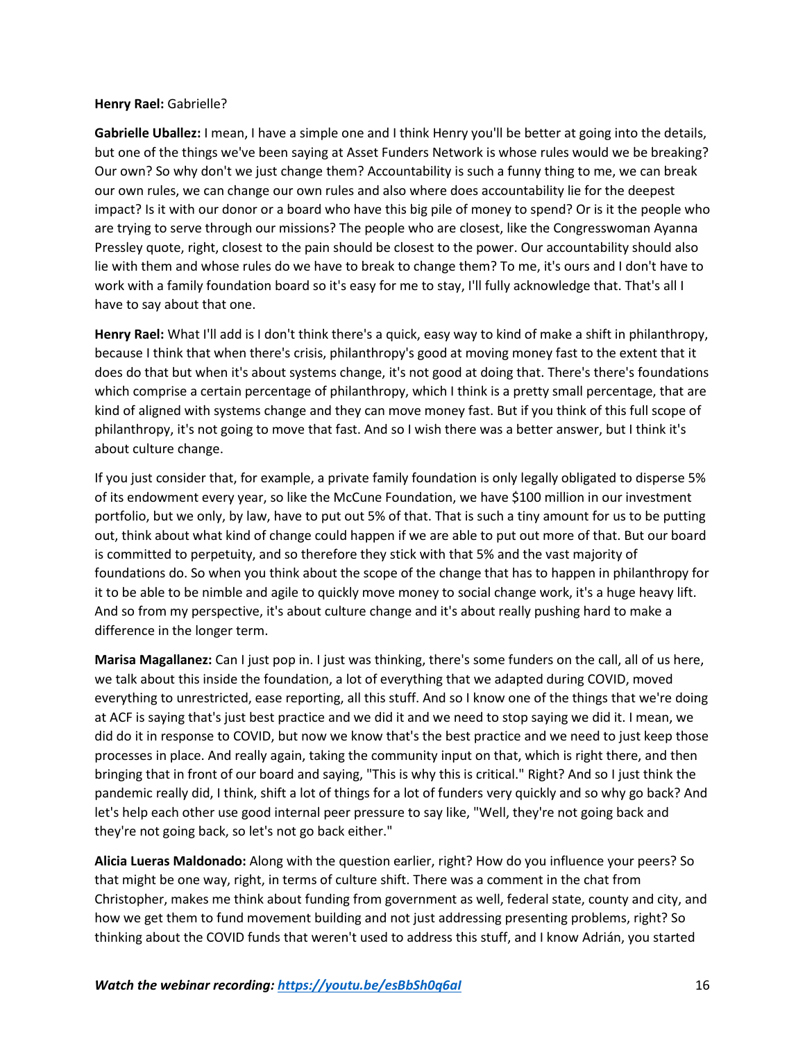## **Henry Rael:** Gabrielle?

**Gabrielle Uballez:** I mean, I have a simple one and I think Henry you'll be better at going into the details, but one of the things we've been saying at Asset Funders Network is whose rules would we be breaking? Our own? So why don't we just change them? Accountability is such a funny thing to me, we can break our own rules, we can change our own rules and also where does accountability lie for the deepest impact? Is it with our donor or a board who have this big pile of money to spend? Or is it the people who are trying to serve through our missions? The people who are closest, like the Congresswoman Ayanna Pressley quote, right, closest to the pain should be closest to the power. Our accountability should also lie with them and whose rules do we have to break to change them? To me, it's ours and I don't have to work with a family foundation board so it's easy for me to stay, I'll fully acknowledge that. That's all I have to say about that one.

**Henry Rael:** What I'll add is I don't think there's a quick, easy way to kind of make a shift in philanthropy, because I think that when there's crisis, philanthropy's good at moving money fast to the extent that it does do that but when it's about systems change, it's not good at doing that. There's there's foundations which comprise a certain percentage of philanthropy, which I think is a pretty small percentage, that are kind of aligned with systems change and they can move money fast. But if you think of this full scope of philanthropy, it's not going to move that fast. And so I wish there was a better answer, but I think it's about culture change.

If you just consider that, for example, a private family foundation is only legally obligated to disperse 5% of its endowment every year, so like the McCune Foundation, we have \$100 million in our investment portfolio, but we only, by law, have to put out 5% of that. That is such a tiny amount for us to be putting out, think about what kind of change could happen if we are able to put out more of that. But our board is committed to perpetuity, and so therefore they stick with that 5% and the vast majority of foundations do. So when you think about the scope of the change that has to happen in philanthropy for it to be able to be nimble and agile to quickly move money to social change work, it's a huge heavy lift. And so from my perspective, it's about culture change and it's about really pushing hard to make a difference in the longer term.

**Marisa Magallanez:** Can I just pop in. I just was thinking, there's some funders on the call, all of us here, we talk about this inside the foundation, a lot of everything that we adapted during COVID, moved everything to unrestricted, ease reporting, all this stuff. And so I know one of the things that we're doing at ACF is saying that's just best practice and we did it and we need to stop saying we did it. I mean, we did do it in response to COVID, but now we know that's the best practice and we need to just keep those processes in place. And really again, taking the community input on that, which is right there, and then bringing that in front of our board and saying, "This is why this is critical." Right? And so I just think the pandemic really did, I think, shift a lot of things for a lot of funders very quickly and so why go back? And let's help each other use good internal peer pressure to say like, "Well, they're not going back and they're not going back, so let's not go back either."

**Alicia Lueras Maldonado:** Along with the question earlier, right? How do you influence your peers? So that might be one way, right, in terms of culture shift. There was a comment in the chat from Christopher, makes me think about funding from government as well, federal state, county and city, and how we get them to fund movement building and not just addressing presenting problems, right? So thinking about the COVID funds that weren't used to address this stuff, and I know Adrián, you started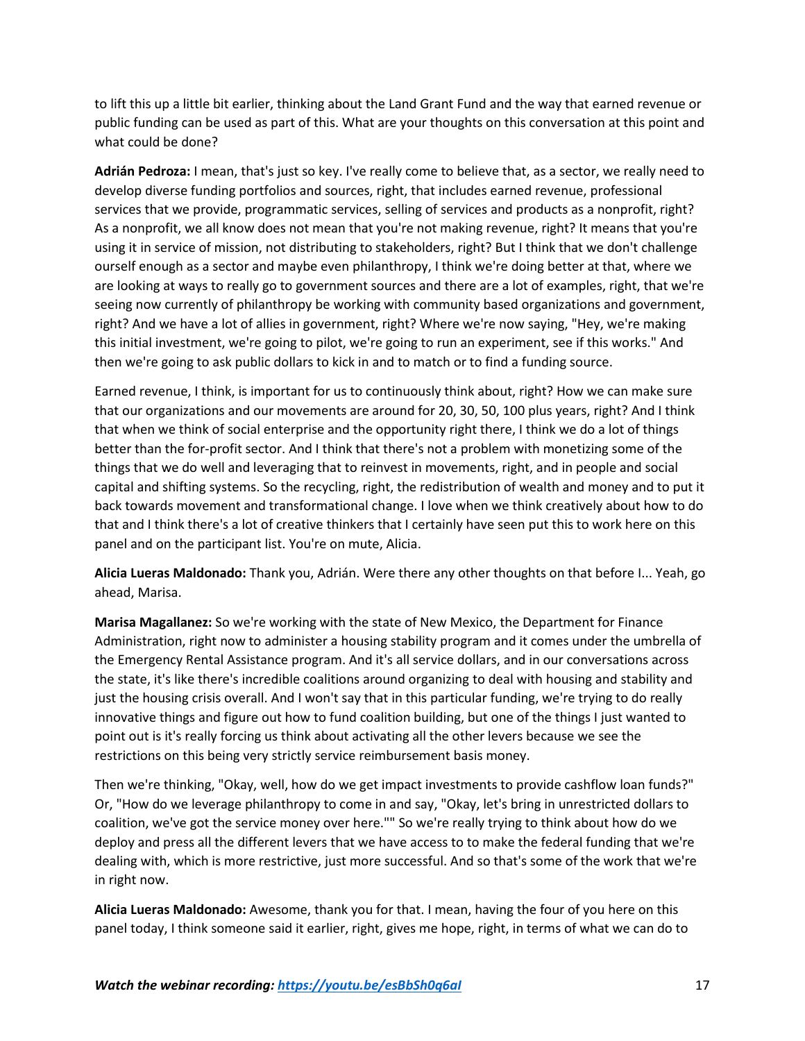to lift this up a little bit earlier, thinking about the Land Grant Fund and the way that earned revenue or public funding can be used as part of this. What are your thoughts on this conversation at this point and what could be done?

**Adrián Pedroza:** I mean, that's just so key. I've really come to believe that, as a sector, we really need to develop diverse funding portfolios and sources, right, that includes earned revenue, professional services that we provide, programmatic services, selling of services and products as a nonprofit, right? As a nonprofit, we all know does not mean that you're not making revenue, right? It means that you're using it in service of mission, not distributing to stakeholders, right? But I think that we don't challenge ourself enough as a sector and maybe even philanthropy, I think we're doing better at that, where we are looking at ways to really go to government sources and there are a lot of examples, right, that we're seeing now currently of philanthropy be working with community based organizations and government, right? And we have a lot of allies in government, right? Where we're now saying, "Hey, we're making this initial investment, we're going to pilot, we're going to run an experiment, see if this works." And then we're going to ask public dollars to kick in and to match or to find a funding source.

Earned revenue, I think, is important for us to continuously think about, right? How we can make sure that our organizations and our movements are around for 20, 30, 50, 100 plus years, right? And I think that when we think of social enterprise and the opportunity right there, I think we do a lot of things better than the for-profit sector. And I think that there's not a problem with monetizing some of the things that we do well and leveraging that to reinvest in movements, right, and in people and social capital and shifting systems. So the recycling, right, the redistribution of wealth and money and to put it back towards movement and transformational change. I love when we think creatively about how to do that and I think there's a lot of creative thinkers that I certainly have seen put this to work here on this panel and on the participant list. You're on mute, Alicia.

**Alicia Lueras Maldonado:** Thank you, Adrián. Were there any other thoughts on that before I... Yeah, go ahead, Marisa.

**Marisa Magallanez:** So we're working with the state of New Mexico, the Department for Finance Administration, right now to administer a housing stability program and it comes under the umbrella of the Emergency Rental Assistance program. And it's all service dollars, and in our conversations across the state, it's like there's incredible coalitions around organizing to deal with housing and stability and just the housing crisis overall. And I won't say that in this particular funding, we're trying to do really innovative things and figure out how to fund coalition building, but one of the things I just wanted to point out is it's really forcing us think about activating all the other levers because we see the restrictions on this being very strictly service reimbursement basis money.

Then we're thinking, "Okay, well, how do we get impact investments to provide cashflow loan funds?" Or, "How do we leverage philanthropy to come in and say, "Okay, let's bring in unrestricted dollars to coalition, we've got the service money over here."" So we're really trying to think about how do we deploy and press all the different levers that we have access to to make the federal funding that we're dealing with, which is more restrictive, just more successful. And so that's some of the work that we're in right now.

**Alicia Lueras Maldonado:** Awesome, thank you for that. I mean, having the four of you here on this panel today, I think someone said it earlier, right, gives me hope, right, in terms of what we can do to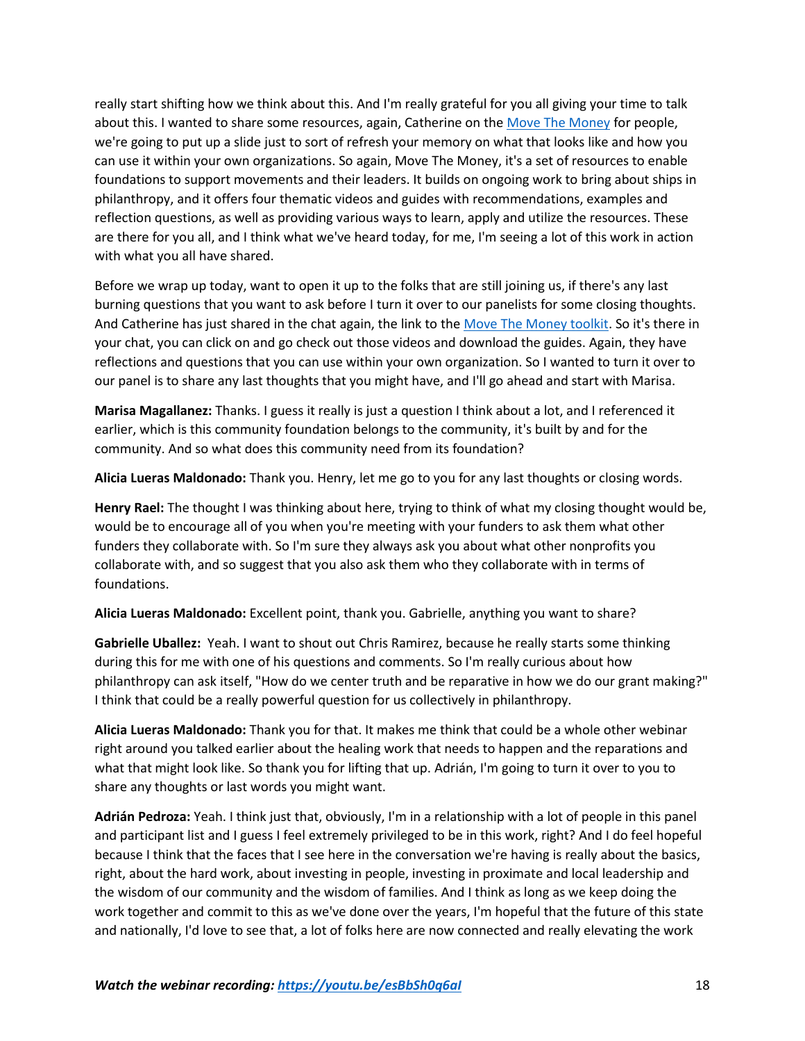really start shifting how we think about this. And I'm really grateful for you all giving your time to talk about this. I wanted to share some resources, again, Catherine on th[e Move The Money](https://buildingmovement.org/move-the-money/) for people, we're going to put up a slide just to sort of refresh your memory on what that looks like and how you can use it within your own organizations. So again, Move The Money, it's a set of resources to enable foundations to support movements and their leaders. It builds on ongoing work to bring about ships in philanthropy, and it offers four thematic videos and guides with recommendations, examples and reflection questions, as well as providing various ways to learn, apply and utilize the resources. These are there for you all, and I think what we've heard today, for me, I'm seeing a lot of this work in action with what you all have shared.

Before we wrap up today, want to open it up to the folks that are still joining us, if there's any last burning questions that you want to ask before I turn it over to our panelists for some closing thoughts. And Catherine has just shared in the chat again, the link to th[e Move The Money](https://buildingmovement.org/move-the-money/) toolkit. So it's there in your chat, you can click on and go check out those videos and download the guides. Again, they have reflections and questions that you can use within your own organization. So I wanted to turn it over to our panel is to share any last thoughts that you might have, and I'll go ahead and start with Marisa.

**Marisa Magallanez:** Thanks. I guess it really is just a question I think about a lot, and I referenced it earlier, which is this community foundation belongs to the community, it's built by and for the community. And so what does this community need from its foundation?

**Alicia Lueras Maldonado:** Thank you. Henry, let me go to you for any last thoughts or closing words.

**Henry Rael:** The thought I was thinking about here, trying to think of what my closing thought would be, would be to encourage all of you when you're meeting with your funders to ask them what other funders they collaborate with. So I'm sure they always ask you about what other nonprofits you collaborate with, and so suggest that you also ask them who they collaborate with in terms of foundations.

**Alicia Lueras Maldonado:** Excellent point, thank you. Gabrielle, anything you want to share?

**Gabrielle Uballez:** Yeah. I want to shout out Chris Ramirez, because he really starts some thinking during this for me with one of his questions and comments. So I'm really curious about how philanthropy can ask itself, "How do we center truth and be reparative in how we do our grant making?" I think that could be a really powerful question for us collectively in philanthropy.

**Alicia Lueras Maldonado:** Thank you for that. It makes me think that could be a whole other webinar right around you talked earlier about the healing work that needs to happen and the reparations and what that might look like. So thank you for lifting that up. Adrián, I'm going to turn it over to you to share any thoughts or last words you might want.

**Adrián Pedroza:** Yeah. I think just that, obviously, I'm in a relationship with a lot of people in this panel and participant list and I guess I feel extremely privileged to be in this work, right? And I do feel hopeful because I think that the faces that I see here in the conversation we're having is really about the basics, right, about the hard work, about investing in people, investing in proximate and local leadership and the wisdom of our community and the wisdom of families. And I think as long as we keep doing the work together and commit to this as we've done over the years, I'm hopeful that the future of this state and nationally, I'd love to see that, a lot of folks here are now connected and really elevating the work